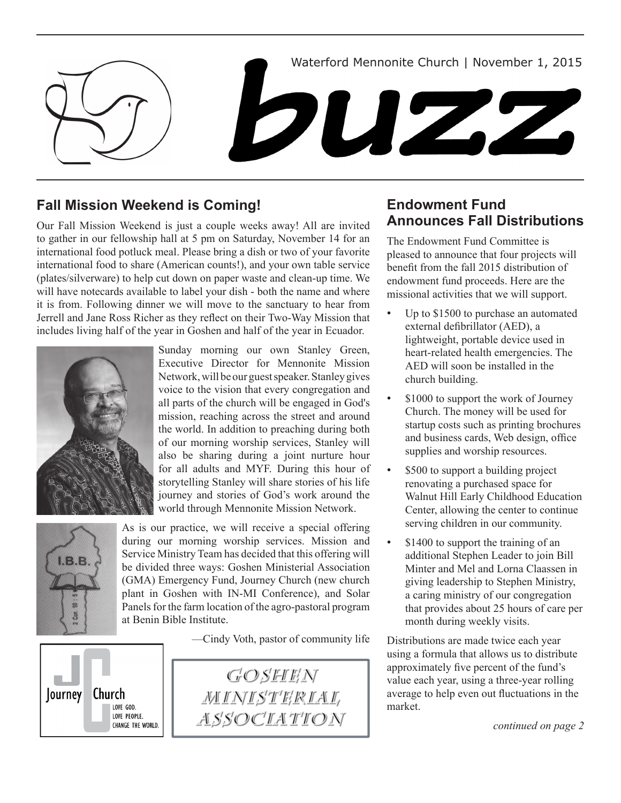

## **Fall Mission Weekend is Coming!**

Our Fall Mission Weekend is just a couple weeks away! All are invited to gather in our fellowship hall at 5 pm on Saturday, November 14 for an international food potluck meal. Please bring a dish or two of your favorite international food to share (American counts!), and your own table service (plates/silverware) to help cut down on paper waste and clean-up time. We will have notecards available to label your dish - both the name and where it is from. Following dinner we will move to the sanctuary to hear from Jerrell and Jane Ross Richer as they reflect on their Two-Way Mission that includes living half of the year in Goshen and half of the year in Ecuador.



Sunday morning our own Stanley Green, Executive Director for Mennonite Mission Network, will be our guest speaker. Stanley gives voice to the vision that every congregation and all parts of the church will be engaged in God's mission, reaching across the street and around the world. In addition to preaching during both of our morning worship services, Stanley will also be sharing during a joint nurture hour for all adults and MYF. During this hour of storytelling Stanley will share stories of his life journey and stories of God's work around the world through Mennonite Mission Network.



As is our practice, we will receive a special offering during our morning worship services. Mission and Service Ministry Team has decided that this offering will be divided three ways: Goshen Ministerial Association (GMA) Emergency Fund, Journey Church (new church plant in Goshen with IN-MI Conference), and Solar Panels for the farm location of the agro-pastoral program at Benin Bible Institute.

—Cindy Voth, pastor of community life





## **Endowment Fund Announces Fall Distributions**

The Endowment Fund Committee is pleased to announce that four projects will benefit from the fall 2015 distribution of endowment fund proceeds. Here are the missional activities that we will support.

- Up to \$1500 to purchase an automated external defibrillator (AED), a lightweight, portable device used in heart-related health emergencies. The AED will soon be installed in the church building.
- \$1000 to support the work of Journey Church. The money will be used for startup costs such as printing brochures and business cards, Web design, office supplies and worship resources.
- \$500 to support a building project renovating a purchased space for Walnut Hill Early Childhood Education Center, allowing the center to continue serving children in our community.
- \$1400 to support the training of an additional Stephen Leader to join Bill Minter and Mel and Lorna Claassen in giving leadership to Stephen Ministry, a caring ministry of our congregation that provides about 25 hours of care per month during weekly visits.

Distributions are made twice each year using a formula that allows us to distribute approximately five percent of the fund's value each year, using a three-year rolling average to help even out fluctuations in the market.

*continued on page 2*